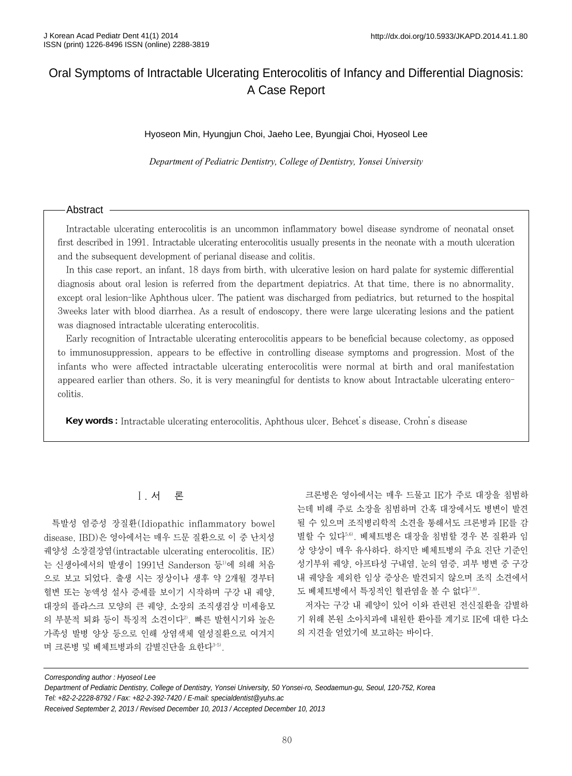# Oral Symptoms of Intractable Ulcerating Enterocolitis of Infancy and Differential Diagnosis: A Case Report

#### Hyoseon Min, Hyungjun Choi, Jaeho Lee, Byungjai Choi, Hyoseol Lee

*Department of Pediatric Dentistry, College of Dentistry, Yonsei University*

#### Abstract

Intractable ulcerating enterocolitis is an uncommon inflammatory bowel disease syndrome of neonatal onset first described in 1991. Intractable ulcerating enterocolitis usually presents in the neonate with a mouth ulceration and the subsequent development of perianal disease and colitis.

In this case report, an infant, 18 days from birth, with ulcerative lesion on hard palate for systemic differential diagnosis about oral lesion is referred from the department depiatrics. At that time, there is no abnormality, except oral lesion-like Aphthous ulcer. The patient was discharged from pediatrics, but returned to the hospital 3weeks later with blood diarrhea. As a result of endoscopy, there were large ulcerating lesions and the patient was diagnosed intractable ulcerating enterocolitis.

Early recognition of Intractable ulcerating enterocolitis appears to be beneficial because colectomy, as opposed to immunosuppression, appears to be effective in controlling disease symptoms and progression. Most of the infants who were affected intractable ulcerating enterocolitis were normal at birth and oral manifestation appeared earlier than others. So, it is very meaningful for dentists to know about Intractable ulcerating enterocolitis.

**Key words :** Intractable ulcerating enterocolitis, Aphthous ulcer, Behcet's disease, Crohn's disease

## Ⅰ. 서 론

특발성 염증성 장질환(Idiopathic inflammatory bowel disease, IBD)은 영아에서는 매우 드문 질환으로 이 중 난치성 궤양성 소장결장염(intractable ulcerating enterocolitis, IE) 는 신생아에서의 발생이 1991년 Sanderson 등<sup>1)</sup>에 의해 처음 으로 보고 되었다. 출생 시는 정상이나 생후 약 2개월 경부터 혈변 또는 농액성 설사 증세를 보이기 시작하며 구강 내 궤양, 대장의 플라스크 모양의 큰 궤양, 소장의 조직생검상 미세융모 의 부분적 퇴화 등이 특징적 소견이다<sup>2</sup>. 빠른 발현시기와 높은 가족성 발병 양상 등으로 인해 상염색체 열성질환으로 여겨지 며 크론병 및 베체트병과의 감별진단을 요한다<sup>3-5)</sup>.

크론병은 영아에서는 매우 드물고 IE가 주로 대장을 침범하 는데 비해 주로 소장을 침범하며 간혹 대장에서도 병변이 발견 될 수 있으며 조직병리학적 소견을 통해서도 크론병과 IE를 감 별할 수 있다5,6). 베체트병은 대장을 침범할 경우 본 질환과 임 상 양상이 매우 유사하다. 하지만 베체트병의 주요 진단 기준인 성기부위 궤양, 아프타성 구내염, 눈의 염증, 피부 병변 중 구강 내 궤양을 제외한 임상 증상은 발견되지 않으며 조직 소견에서 도 베체트병에서 특징적인 혈관염을 볼 수 없다7.8).

저자는 구강 내 궤양이 있어 이와 관련된 전신질환을 감별하 기 위해 본원 소아치과에 내원한 환아를 계기로 IE에 대한 다소 의 지견을 얻었기에 보고하는 바이다.

Corresponding author : Hyoseol Lee

Department of Pediatric Dentistry, College of Dentistry, Yonsei University, 50 Yonsei-ro, Seodaemun-gu, Seoul, 120-752, Korea Tel: +82-2-2228-8792 / Fax: +82-2-392-7420 / E-mail: specialdentist@yuhs.ac

Received September 2, 2013 / Revised December 10, 2013 / Accepted December 10, 2013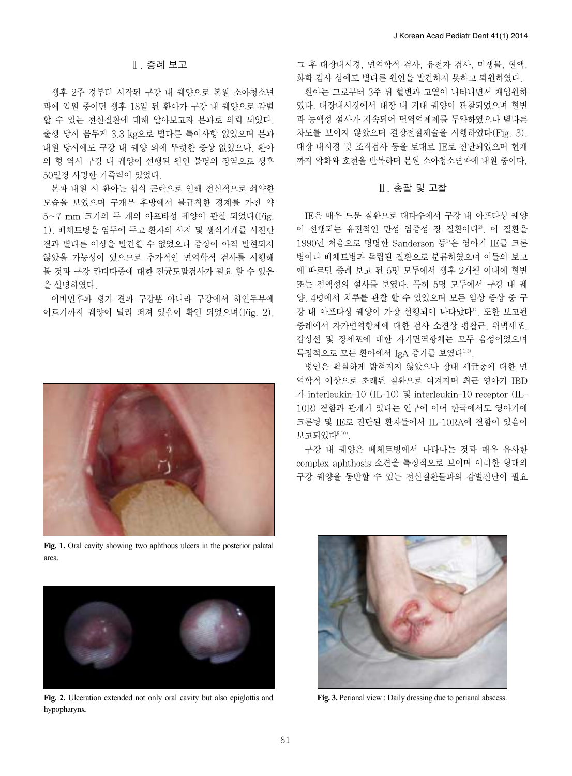그 후 대장내시경, 면역학적 검사, 유전자 검사, 미생물, 혈액, 화학 검사 상에도 별다른 원인을 발견하지 못하고 퇴원하였다.

환아는 그로부터 3주 뒤 혈변과 고열이 나타나면서 재입원하 였다. 대장내시경에서 대장 내 거대 궤양이 관찰되었으며 혈변 과 농액성 설사가 지속되어 면역억제제를 투약하였으나 별다른 차도를 보이지 않았으며 결장전절제술을 시행하였다(Fig. 3). 대장 내시경 및 조직검사 등을 토대로 IE로 진단되었으며 현재 까지 악화와 호전을 반복하며 본원 소아청소년과에 내원 중이다.

## Ⅲ. 총괄 및 고찰

IE은 매우 드문 질환으로 대다수에서 구강 내 아프타성 궤양 이 선행되는 유전적인 만성 염증성 장 질환이다<sup>2</sup>. 이 질환을 1990년 처음으로 명명한 Sanderson 등1)은 영아기 IE를 크론 병이나 베체트병과 독립된 질환으로 분류하였으며 이들의 보고 에 따르면 증례 보고 된 5명 모두에서 생후 2개월 이내에 혈변 또는 점액성의 설사를 보였다. 특히 5명 모두에서 구강 내 궤 양, 4명에서 치루를 관찰 할 수 있었으며 모든 임상 증상 중 구 강 내 아프타성 궤양이 가장 선행되어 나타났다1). 또한 보고된 증례에서 자가면역항체에 대한 검사 소견상 평활근, 위벽세포, 갑상선 및 장세포에 대한 자가면역항체는 모두 음성이었으며 특징적으로 모든 환아에서 IgA 증가를 보였다<sup>1,3)</sup>.

병인은 확실하게 밝혀지지 않았으나 장내 세균총에 대한 면 역학적 이상으로 초래된 질환으로 여겨지며 최근 영아기 IBD 가 interleukin-10 (IL-10) 및 interleukin-10 receptor (IL-10R) 결함과 관계가 있다는 연구에 이어 한국에서도 영아기에 크론병 및 IE로 진단된 환자들에서 IL-10RA에 결함이 있음이 보고되었다9,10).

구강 내 궤양은 베체트병에서 나타나는 것과 매우 유사한 complex aphthosis 소견을 특징적으로 보이며 이러한 형태의 구강 궤양을 동반할 수 있는 전신질환들과의 감별진단이 필요

## Ⅱ. 증례 보고

생후 2주 경부터 시작된 구강 내 궤양으로 본원 소아청소년 과에 입원 중이던 생후 18일 된 환아가 구강 내 궤양으로 감별 할 수 있는 전신질환에 대해 알아보고자 본과로 의뢰 되었다. 출생 당시 몸무게 3.3 kg으로 별다른 특이사항 없었으며 본과 내원 당시에도 구강 내 궤양 외에 뚜렷한 증상 없었으나, 환아 의 형 역시 구강 내 궤양이 선행된 원인 불명의 장염으로 생후 50일경 사망한 가족력이 있었다.

본과 내원 시 환아는 섭식 곤란으로 인해 전신적으로 쇠약한 모습을 보였으며 구개부 후방에서 불규칙한 경계를 가진 약 5~7 mm 크기의 두 개의 아프타성 궤양이 관찰 되었다(Fig. 1). 베체트병을 염두에 두고 환자의 사지 및 생식기계를 시진한 결과 별다른 이상을 발견할 수 없었으나 증상이 아직 발현되지 않았을 가능성이 있으므로 추가적인 면역학적 검사를 시행해 볼 것과 구강 칸디다증에 대한 진균도말검사가 필요 할 수 있음 을 설명하였다.

이비인후과 평가 결과 구강뿐 아니라 구강에서 하인두부에 이르기까지 궤양이 널리 퍼져 있음이 확인 되었으며(Fig. 2),



**Fig. 1.** Oral cavity showing two aphthous ulcers in the posterior palatal area.



**Fig. 2.** Ulceration extended not only oral cavity but also epiglottis and **Fig. 3.** Perianal view : Daily dressing due to perianal abscess. hypopharynx.

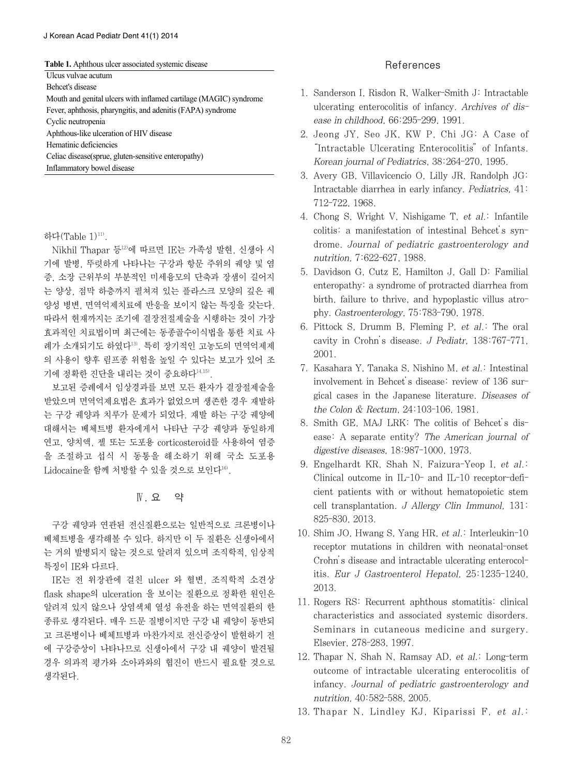| <b>Table 1.</b> Aphthous ulcer associated systemic disease |
|------------------------------------------------------------|
|------------------------------------------------------------|

Ulcus vulvae acutum

Behcet's disease

Mouth and genital ulcers with inflamed cartilage (MAGIC) syndrome Fever, aphthosis, pharyngitis, and adenitis (FAPA) syndrome

Cyclic neutropenia

Aphthous-like ulceration of HIV disease

Hematinic deficiencies

Celiac disease(sprue, gluten-sensitive enteropathy)

Inflammatory bowel disease

#### 하다(Table 1)<sup>11)</sup>.

Nikhil Thapar 등12)에 따르면 IE는 가족성 발현, 신생아 시 기에 발병, 뚜렷하게 나타나는 구강과 항문 주위의 궤양 및 염 증, 소장 근위부의 부분적인 미세융모의 단축과 장샘이 길어지 는 양상, 점막 하층까지 펼쳐져 있는 플라스크 모양의 깊은 궤 양성 병변, 면역억제치료에 반응을 보이지 않는 특징을 갖는다. 따라서 현재까지는 조기에 결장전절제술을 시행하는 것이 가장 효과적인 치료법이며 최근에는 동종골수이식법을 통한 치료 사 례가 소개되기도 하였다13). 특히 장기적인 고농도의 면역억제제 의 사용이 향후 림프종 위험을 높일 수 있다는 보고가 있어 조 기에 정확한 진단을 내리는 것이 중요하다<sup>14,15)</sup>.

보고된 증례에서 임상경과를 보면 모든 환자가 결장절제술을 받았으며 면역억제요법은 효과가 없었으며 생존한 경우 재발하 는 구강 궤양과 치루가 문제가 되었다. 재발 하는 구강 궤양에 대해서는 베체트병 환자에게서 나타난 구강 궤양과 동일하게 연고, 양치액, 젤 또는 도포용 corticosteroid를 사용하여 염증 을 조절하고 섭식 시 동통을 해소하기 위해 국소 도포용 Lidocaine을 함께 처방할 수 있을 것으로 보인다<sup>16)</sup>.

## Ⅳ. 요 약

구강 궤양과 연관된 전신질환으로는 일반적으로 크론병이나 베체트병을 생각해볼 수 있다. 하지만 이 두 질환은 신생아에서 는 거의 발병되지 않는 것으로 알려져 있으며 조직학적, 임상적 특징이 IE와 다르다.

IE는 전 위장관에 걸친 ulcer 와 혈변, 조직학적 소견상 flask shape의 ulceration 을 보이는 질환으로 정확한 원인은 알려져 있지 않으나 상염색체 열성 유전을 하는 면역질환의 한 종류로 생각된다. 매우 드문 질병이지만 구강 내 궤양이 동반되 고 크론병이나 베체트병과 마찬가지로 전신증상이 발현하기 전 에 구강증상이 나타나므로 신생아에서 구강 내 궤양이 발견될 경우 의과적 평가와 소아과와의 협진이 반드시 필요할 것으로 생각된다.

## References

- 1. Sanderson I, Risdon R, Walker-Smith J: Intractable ulcerating enterocolitis of infancy. Archives of disease in childhood, 66:295-299, 1991.
- 2. Jeong JY, Seo JK, KW P, Chi JG: A Case of "Intractable Ulcerating Enterocolitis"of Infants. Korean journal of Pediatrics, 38:264-270, 1995.
- 3. Avery GB, Villavicencio O, Lilly JR, Randolph JG: Intractable diarrhea in early infancy. Pediatrics, 41: 712-722, 1968.
- 4. Chong S, Wright V, Nishigame T, et al.: Infantile colitis: a manifestation of intestinal Behcet's syndrome. Journal of pediatric gastroenterology and nutrition, 7:622-627, 1988.
- 5. Davidson G, Cutz E, Hamilton J, Gall D: Familial enteropathy: a syndrome of protracted diarrhea from birth, failure to thrive, and hypoplastic villus atrophy. Gastroenterology, 75:783-790, 1978.
- 6. Pittock S, Drumm B, Fleming P, et al.: The oral cavity in Crohn's disease. J Pediatr, 138:767-771, 2001.
- 7. Kasahara Y, Tanaka S, Nishino M, et al.: Intestinal involvement in Behcet's disease: review of 136 surgical cases in the Japanese literature. Diseases of the Colon & Rectum, 24:103-106, 1981.
- 8. Smith GE, MAJ LRK: The colitis of Behcet's disease: A separate entity? The American journal of digestive diseases, 18:987-1000, 1973.
- 9. Engelhardt KR, Shah N, Faizura-Yeop I, et al.: Clinical outcome in IL-10- and IL-10 receptor-deficient patients with or without hematopoietic stem cell transplantation. J Allergy Clin Immunol, 131: 825-830, 2013.
- 10. Shim JO, Hwang S, Yang HR, et al.: Interleukin-10 receptor mutations in children with neonatal-onset Crohn's disease and intractable ulcerating enterocolitis. Eur J Gastroenterol Hepatol, 25:1235-1240, 2013.
- 11. Rogers RS: Recurrent aphthous stomatitis: clinical characteristics and associated systemic disorders. Seminars in cutaneous medicine and surgery. Elsevier, 278-283, 1997.
- 12. Thapar N, Shah N, Ramsay AD, et al.: Long-term outcome of intractable ulcerating enterocolitis of infancy. Journal of pediatric gastroenterology and nutrition, 40:582-588, 2005.
- 13. Thapar N, Lindley KJ, Kiparissi F, et al.: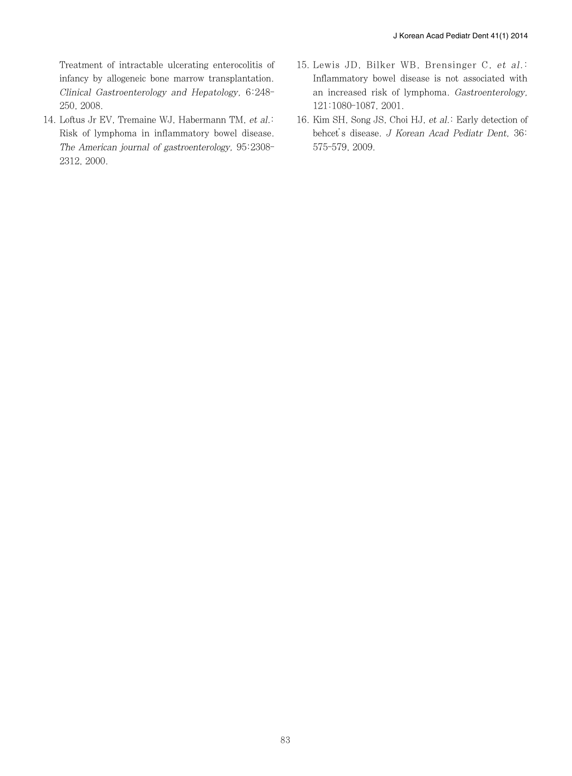Treatment of intractable ulcerating enterocolitis of infancy by allogeneic bone marrow transplantation. Clinical Gastroenterology and Hepatology, 6:248- 250, 2008.

- 14. Loftus Jr EV, Tremaine WJ, Habermann TM, et al.: Risk of lymphoma in inflammatory bowel disease. The American journal of gastroenterology, 95:2308- 2312, 2000.
- 15. Lewis JD, Bilker WB, Brensinger C, et al.: Inflammatory bowel disease is not associated with an increased risk of lymphoma. Gastroenterology, 121:1080-1087, 2001.
- 16. Kim SH, Song JS, Choi HJ, et al.: Early detection of behcet's disease. J Korean Acad Pediatr Dent, 36: 575-579, 2009.